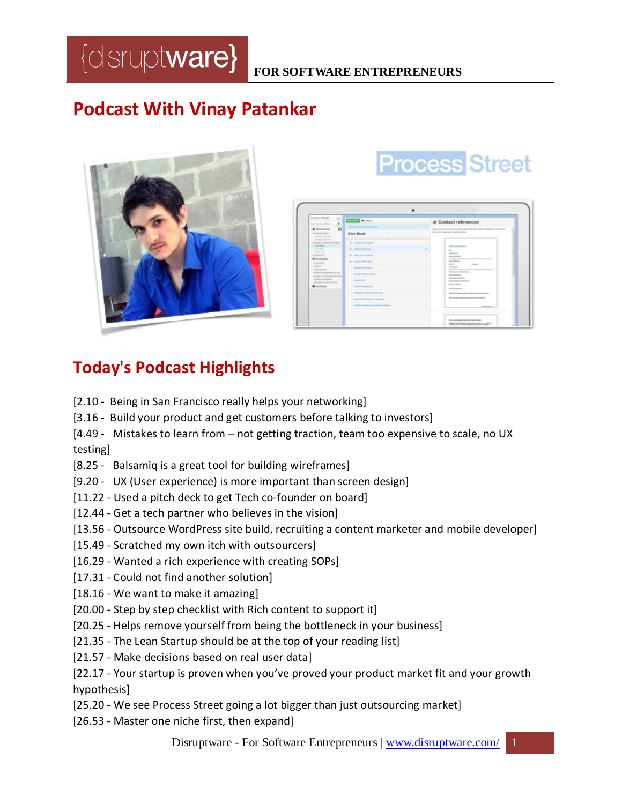## **Podcast With Vinay Patankar**



| Process Street<br>$\langle \sigma \rangle$<br>East Properties (West 4)<br>٠<br>o<br><b>B</b> Documents<br>· Create terminiter<br>Manday First Sec.<br>Monday Williams<br>· Manager De Boarding Gregory.<br><b>Wind Show</b><br><b>GA CARDS</b><br><b>House Adm</b><br>1 Europa (19)<br>O Examples<br>Department and Content<br>Capital<br>Hilling an interior<br>Financial Interapertent For Ise.<br>Manager De Branting Diecktel<br><b>Creating a hermitellor</b><br>Hindustria for Process Street<br><b>B</b> Antiques | <b>STATE BANK</b><br>The arts and the art a private set                                                                                                                                                  |                                        | R Contact references<br>Objected to to the banks element all collaborates. To all field                                                                                                                                                                                                                                                                                                                                                                                                                                    |
|--------------------------------------------------------------------------------------------------------------------------------------------------------------------------------------------------------------------------------------------------------------------------------------------------------------------------------------------------------------------------------------------------------------------------------------------------------------------------------------------------------------------------|----------------------------------------------------------------------------------------------------------------------------------------------------------------------------------------------------------|----------------------------------------|----------------------------------------------------------------------------------------------------------------------------------------------------------------------------------------------------------------------------------------------------------------------------------------------------------------------------------------------------------------------------------------------------------------------------------------------------------------------------------------------------------------------------|
|                                                                                                                                                                                                                                                                                                                                                                                                                                                                                                                          | Elon Musk                                                                                                                                                                                                | Bank at the application may the bottom |                                                                                                                                                                                                                                                                                                                                                                                                                                                                                                                            |
|                                                                                                                                                                                                                                                                                                                                                                                                                                                                                                                          | al Contactibe Centralis<br>of Contact references<br>of Chevrolet Construction<br>of Present Offer Lefter<br><b>Record referred to</b><br>Arrange Drug Scientiffs<br>Contact Edit<br>Create Engineer Fig. |                                        | <b><i><u>Station Advisor Det</u></i></b><br>$\sim$<br><b>School Ford</b><br><b>Rolley Automate</b><br>___<br><br><b>Real Printman</b><br>an last<br><b>STATE</b><br><b>Senator</b><br>=<br>Station Authorization manner<br><b>Service Construction</b><br><b>Big American Mills</b><br>though stop of notice printments.<br><b><i>SERVICES</i></b><br><b><i><u>STATE SCIENCES</u></i></b><br>Board as design index in factor of the control and service<br>Wash and has the relationship with a government and constituted |
|                                                                                                                                                                                                                                                                                                                                                                                                                                                                                                                          | Prepare for Employee's Presi Day                                                                                                                                                                         |                                        |                                                                                                                                                                                                                                                                                                                                                                                                                                                                                                                            |
|                                                                                                                                                                                                                                                                                                                                                                                                                                                                                                                          | <b>Schedule Drankalon for Employee</b>                                                                                                                                                                   |                                        |                                                                                                                                                                                                                                                                                                                                                                                                                                                                                                                            |
|                                                                                                                                                                                                                                                                                                                                                                                                                                                                                                                          | Contine Crawlaton and Delver Schedule                                                                                                                                                                    |                                        | <b>Secretary Inc.</b>                                                                                                                                                                                                                                                                                                                                                                                                                                                                                                      |

**Process Street** 

## **Today's Podcast Highlights**

- [2.10 Being in San Francisco really helps your networking]
- [3.16 Build your product and get customers before talking to investors]
- [4.49 Mistakes to learn from not getting traction, team too expensive to scale, no UX testing]
- [8.25 Balsamiq is a great tool for building wireframes]
- [9.20 UX (User experience) is more important than screen design]
- [11.22 Used a pitch deck to get Tech co-founder on board]
- [12.44 Get a tech partner who believes in the vision]
- [13.56 Outsource WordPress site build, recruiting a content marketer and mobile developer]
- [15.49 Scratched my own itch with outsourcers]
- [16.29 Wanted a rich experience with creating SOPs]
- [17.31 Could not find another solution]
- [18.16 We want to make it amazing]
- [20.00 Step by step checklist with Rich content to support it]
- [20.25 Helps remove yourself from being the bottleneck in your business]
- [21.35 The Lean Startup should be at the top of your reading list]
- [21.57 Make decisions based on real user data]
- [22.17 Your startup is proven when you've proved your product market fit and your growth hypothesis]
- [25.20 We see Process Street going a lot bigger than just outsourcing market]
- [26.53 Master one niche first, then expand]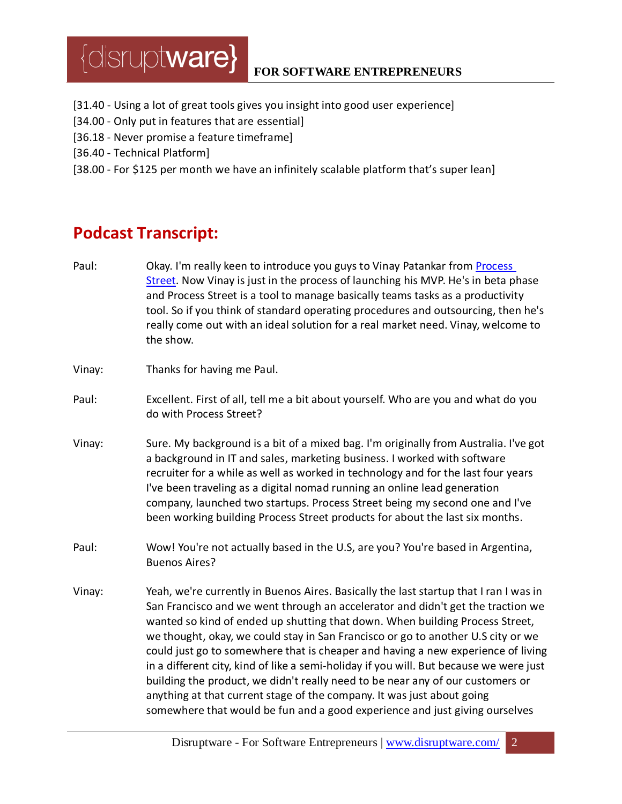- [31.40 Using a lot of great tools gives you insight into good user experience]
- [34.00 Only put in features that are essential]
- [36.18 Never promise a feature timeframe]
- [36.40 Technical Platform]
- [38.00 For \$125 per month we have an infinitely scalable platform that's super lean]

### **Podcast Transcript:**

- Paul: Okay. I'm really keen to introduce you guys to Vinay Patankar from [Process](http://www.process.st/)  [Street.](http://www.process.st/) Now Vinay is just in the process of launching his MVP. He's in beta phase and Process Street is a tool to manage basically teams tasks as a productivity tool. So if you think of standard operating procedures and outsourcing, then he's really come out with an ideal solution for a real market need. Vinay, welcome to the show.
- Vinay: Thanks for having me Paul.
- Paul: Excellent. First of all, tell me a bit about yourself. Who are you and what do you do with Process Street?
- Vinay: Sure. My background is a bit of a mixed bag. I'm originally from Australia. I've got a background in IT and sales, marketing business. I worked with software recruiter for a while as well as worked in technology and for the last four years I've been traveling as a digital nomad running an online lead generation company, launched two startups. Process Street being my second one and I've been working building Process Street products for about the last six months.
- Paul: Wow! You're not actually based in the U.S, are you? You're based in Argentina, Buenos Aires?
- Vinay: Yeah, we're currently in Buenos Aires. Basically the last startup that I ran I was in San Francisco and we went through an accelerator and didn't get the traction we wanted so kind of ended up shutting that down. When building Process Street, we thought, okay, we could stay in San Francisco or go to another U.S city or we could just go to somewhere that is cheaper and having a new experience of living in a different city, kind of like a semi-holiday if you will. But because we were just building the product, we didn't really need to be near any of our customers or anything at that current stage of the company. It was just about going somewhere that would be fun and a good experience and just giving ourselves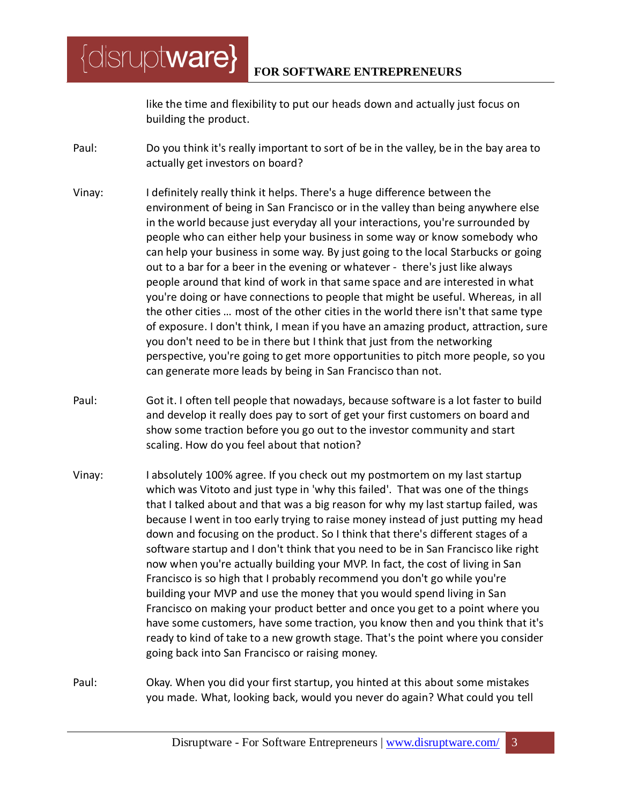like the time and flexibility to put our heads down and actually just focus on building the product.

Paul: Do you think it's really important to sort of be in the valley, be in the bay area to actually get investors on board?

[disrupt**ware}** 

- Vinay: I definitely really think it helps. There's a huge difference between the environment of being in San Francisco or in the valley than being anywhere else in the world because just everyday all your interactions, you're surrounded by people who can either help your business in some way or know somebody who can help your business in some way. By just going to the local Starbucks or going out to a bar for a beer in the evening or whatever - there's just like always people around that kind of work in that same space and are interested in what you're doing or have connections to people that might be useful. Whereas, in all the other cities … most of the other cities in the world there isn't that same type of exposure. I don't think, I mean if you have an amazing product, attraction, sure you don't need to be in there but I think that just from the networking perspective, you're going to get more opportunities to pitch more people, so you can generate more leads by being in San Francisco than not.
- Paul: Got it. I often tell people that nowadays, because software is a lot faster to build and develop it really does pay to sort of get your first customers on board and show some traction before you go out to the investor community and start scaling. How do you feel about that notion?
- Vinay: I absolutely 100% agree. If you check out my postmortem on my last startup which was Vitoto and just type in 'why this failed'. That was one of the things that I talked about and that was a big reason for why my last startup failed, was because I went in too early trying to raise money instead of just putting my head down and focusing on the product. So I think that there's different stages of a software startup and I don't think that you need to be in San Francisco like right now when you're actually building your MVP. In fact, the cost of living in San Francisco is so high that I probably recommend you don't go while you're building your MVP and use the money that you would spend living in San Francisco on making your product better and once you get to a point where you have some customers, have some traction, you know then and you think that it's ready to kind of take to a new growth stage. That's the point where you consider going back into San Francisco or raising money.
- Paul: Okay. When you did your first startup, you hinted at this about some mistakes you made. What, looking back, would you never do again? What could you tell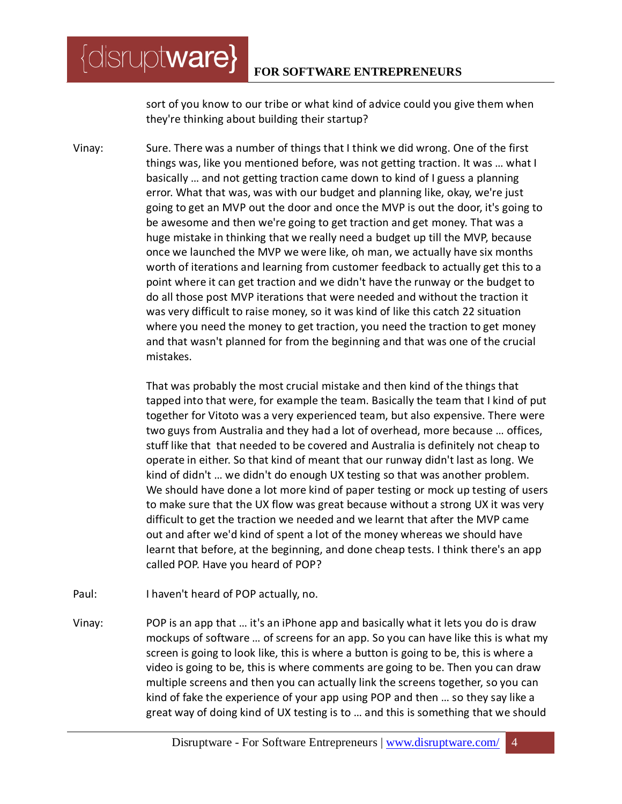sort of you know to our tribe or what kind of advice could you give them when they're thinking about building their startup?

Vinay: Sure. There was a number of things that I think we did wrong. One of the first things was, like you mentioned before, was not getting traction. It was … what I basically … and not getting traction came down to kind of I guess a planning error. What that was, was with our budget and planning like, okay, we're just going to get an MVP out the door and once the MVP is out the door, it's going to be awesome and then we're going to get traction and get money. That was a huge mistake in thinking that we really need a budget up till the MVP, because once we launched the MVP we were like, oh man, we actually have six months worth of iterations and learning from customer feedback to actually get this to a point where it can get traction and we didn't have the runway or the budget to do all those post MVP iterations that were needed and without the traction it was very difficult to raise money, so it was kind of like this catch 22 situation where you need the money to get traction, you need the traction to get money and that wasn't planned for from the beginning and that was one of the crucial mistakes.

> That was probably the most crucial mistake and then kind of the things that tapped into that were, for example the team. Basically the team that I kind of put together for Vitoto was a very experienced team, but also expensive. There were two guys from Australia and they had a lot of overhead, more because … offices, stuff like that that needed to be covered and Australia is definitely not cheap to operate in either. So that kind of meant that our runway didn't last as long. We kind of didn't … we didn't do enough UX testing so that was another problem. We should have done a lot more kind of paper testing or mock up testing of users to make sure that the UX flow was great because without a strong UX it was very difficult to get the traction we needed and we learnt that after the MVP came out and after we'd kind of spent a lot of the money whereas we should have learnt that before, at the beginning, and done cheap tests. I think there's an app called POP. Have you heard of POP?

Paul: I haven't heard of POP actually, no.

 $\{$ disrupt**ware** $\}$ 

Vinay: POP is an app that … it's an iPhone app and basically what it lets you do is draw mockups of software … of screens for an app. So you can have like this is what my screen is going to look like, this is where a button is going to be, this is where a video is going to be, this is where comments are going to be. Then you can draw multiple screens and then you can actually link the screens together, so you can kind of fake the experience of your app using POP and then … so they say like a great way of doing kind of UX testing is to … and this is something that we should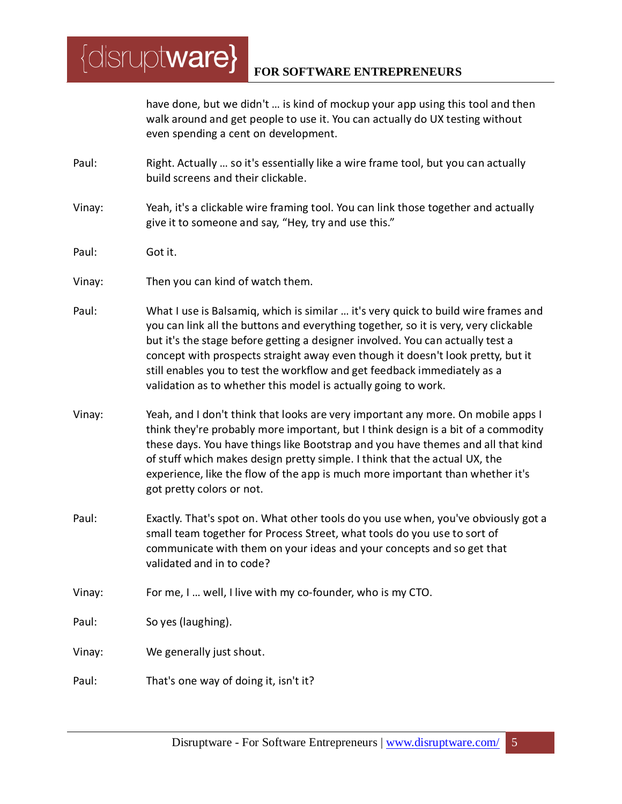*{disruptware}* **FOR SOFTWARE ENTREPRENEURS**

> have done, but we didn't … is kind of mockup your app using this tool and then walk around and get people to use it. You can actually do UX testing without even spending a cent on development.

- Paul: Right. Actually … so it's essentially like a wire frame tool, but you can actually build screens and their clickable.
- Vinay: Yeah, it's a clickable wire framing tool. You can link those together and actually give it to someone and say, "Hey, try and use this."
- Paul: Got it.
- Vinay: Then you can kind of watch them.
- Paul: What I use is Balsamiq, which is similar … it's very quick to build wire frames and you can link all the buttons and everything together, so it is very, very clickable but it's the stage before getting a designer involved. You can actually test a concept with prospects straight away even though it doesn't look pretty, but it still enables you to test the workflow and get feedback immediately as a validation as to whether this model is actually going to work.
- Vinay: Yeah, and I don't think that looks are very important any more. On mobile apps I think they're probably more important, but I think design is a bit of a commodity these days. You have things like Bootstrap and you have themes and all that kind of stuff which makes design pretty simple. I think that the actual UX, the experience, like the flow of the app is much more important than whether it's got pretty colors or not.
- Paul: Exactly. That's spot on. What other tools do you use when, you've obviously got a small team together for Process Street, what tools do you use to sort of communicate with them on your ideas and your concepts and so get that validated and in to code?
- Vinay: For me, I … well, I live with my co-founder, who is my CTO.

Paul: So yes (laughing).

- Vinay: We generally just shout.
- Paul: That's one way of doing it, isn't it?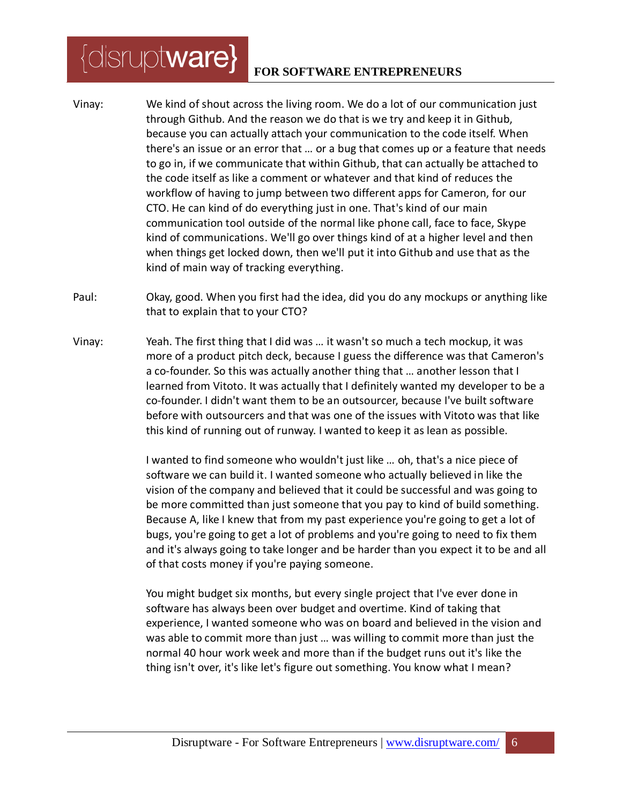#### **FOR SOFTWARE ENTREPRENEURS**

- Vinay: We kind of shout across the living room. We do a lot of our communication just through Github. And the reason we do that is we try and keep it in Github, because you can actually attach your communication to the code itself. When there's an issue or an error that … or a bug that comes up or a feature that needs to go in, if we communicate that within Github, that can actually be attached to the code itself as like a comment or whatever and that kind of reduces the workflow of having to jump between two different apps for Cameron, for our CTO. He can kind of do everything just in one. That's kind of our main communication tool outside of the normal like phone call, face to face, Skype kind of communications. We'll go over things kind of at a higher level and then when things get locked down, then we'll put it into Github and use that as the kind of main way of tracking everything.
- Paul: Okay, good. When you first had the idea, did you do any mockups or anything like that to explain that to your CTO?
- Vinay: Yeah. The first thing that I did was … it wasn't so much a tech mockup, it was more of a product pitch deck, because I guess the difference was that Cameron's a co-founder. So this was actually another thing that … another lesson that I learned from Vitoto. It was actually that I definitely wanted my developer to be a co-founder. I didn't want them to be an outsourcer, because I've built software before with outsourcers and that was one of the issues with Vitoto was that like this kind of running out of runway. I wanted to keep it as lean as possible.

I wanted to find someone who wouldn't just like … oh, that's a nice piece of software we can build it. I wanted someone who actually believed in like the vision of the company and believed that it could be successful and was going to be more committed than just someone that you pay to kind of build something. Because A, like I knew that from my past experience you're going to get a lot of bugs, you're going to get a lot of problems and you're going to need to fix them and it's always going to take longer and be harder than you expect it to be and all of that costs money if you're paying someone.

You might budget six months, but every single project that I've ever done in software has always been over budget and overtime. Kind of taking that experience, I wanted someone who was on board and believed in the vision and was able to commit more than just … was willing to commit more than just the normal 40 hour work week and more than if the budget runs out it's like the thing isn't over, it's like let's figure out something. You know what I mean?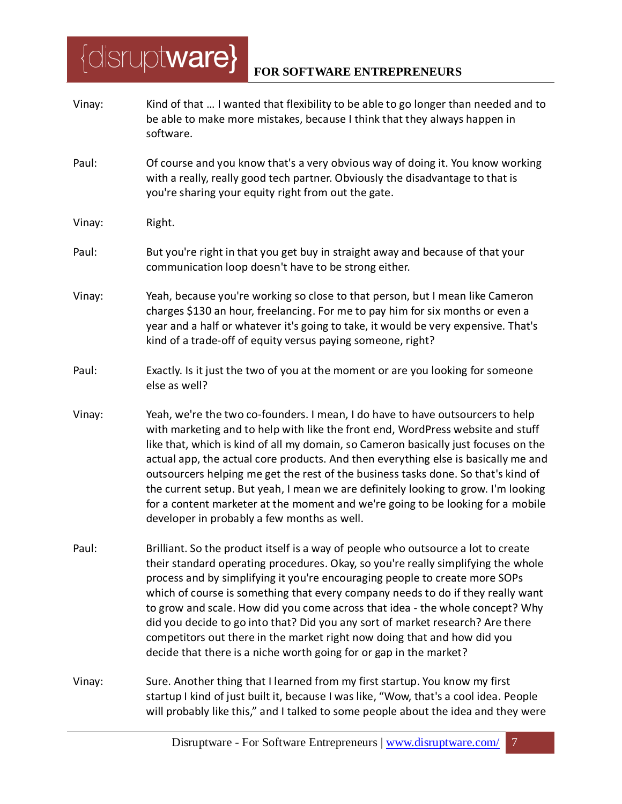- Vinay: Kind of that … I wanted that flexibility to be able to go longer than needed and to be able to make more mistakes, because I think that they always happen in software.
- Paul: Of course and you know that's a very obvious way of doing it. You know working with a really, really good tech partner. Obviously the disadvantage to that is you're sharing your equity right from out the gate.
- Vinay: Right.
- Paul: But you're right in that you get buy in straight away and because of that your communication loop doesn't have to be strong either.
- Vinay: Yeah, because you're working so close to that person, but I mean like Cameron charges \$130 an hour, freelancing. For me to pay him for six months or even a year and a half or whatever it's going to take, it would be very expensive. That's kind of a trade-off of equity versus paying someone, right?
- Paul: Exactly. Is it just the two of you at the moment or are you looking for someone else as well?
- Vinay: Yeah, we're the two co-founders. I mean, I do have to have outsourcers to help with marketing and to help with like the front end, WordPress website and stuff like that, which is kind of all my domain, so Cameron basically just focuses on the actual app, the actual core products. And then everything else is basically me and outsourcers helping me get the rest of the business tasks done. So that's kind of the current setup. But yeah, I mean we are definitely looking to grow. I'm looking for a content marketer at the moment and we're going to be looking for a mobile developer in probably a few months as well.
- Paul: Brilliant. So the product itself is a way of people who outsource a lot to create their standard operating procedures. Okay, so you're really simplifying the whole process and by simplifying it you're encouraging people to create more SOPs which of course is something that every company needs to do if they really want to grow and scale. How did you come across that idea - the whole concept? Why did you decide to go into that? Did you any sort of market research? Are there competitors out there in the market right now doing that and how did you decide that there is a niche worth going for or gap in the market?
- Vinay: Sure. Another thing that I learned from my first startup. You know my first startup I kind of just built it, because I was like, "Wow, that's a cool idea. People will probably like this," and I talked to some people about the idea and they were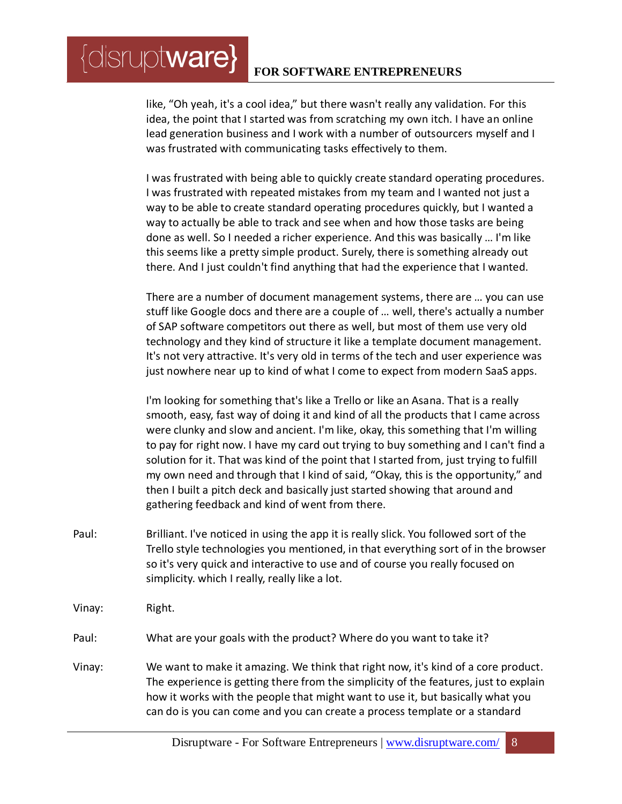like, "Oh yeah, it's a cool idea," but there wasn't really any validation. For this idea, the point that I started was from scratching my own itch. I have an online lead generation business and I work with a number of outsourcers myself and I was frustrated with communicating tasks effectively to them.

I was frustrated with being able to quickly create standard operating procedures. I was frustrated with repeated mistakes from my team and I wanted not just a way to be able to create standard operating procedures quickly, but I wanted a way to actually be able to track and see when and how those tasks are being done as well. So I needed a richer experience. And this was basically … I'm like this seems like a pretty simple product. Surely, there is something already out there. And I just couldn't find anything that had the experience that I wanted.

There are a number of document management systems, there are … you can use stuff like Google docs and there are a couple of … well, there's actually a number of SAP software competitors out there as well, but most of them use very old technology and they kind of structure it like a template document management. It's not very attractive. It's very old in terms of the tech and user experience was just nowhere near up to kind of what I come to expect from modern SaaS apps.

I'm looking for something that's like a Trello or like an Asana. That is a really smooth, easy, fast way of doing it and kind of all the products that I came across were clunky and slow and ancient. I'm like, okay, this something that I'm willing to pay for right now. I have my card out trying to buy something and I can't find a solution for it. That was kind of the point that I started from, just trying to fulfill my own need and through that I kind of said, "Okay, this is the opportunity," and then I built a pitch deck and basically just started showing that around and gathering feedback and kind of went from there.

- Paul: Brilliant. I've noticed in using the app it is really slick. You followed sort of the Trello style technologies you mentioned, in that everything sort of in the browser so it's very quick and interactive to use and of course you really focused on simplicity. which I really, really like a lot.
- Vinay: Right.

 $\{$ disrupt**ware** $\}$ 

- Paul: What are your goals with the product? Where do you want to take it?
- Vinay: We want to make it amazing. We think that right now, it's kind of a core product. The experience is getting there from the simplicity of the features, just to explain how it works with the people that might want to use it, but basically what you can do is you can come and you can create a process template or a standard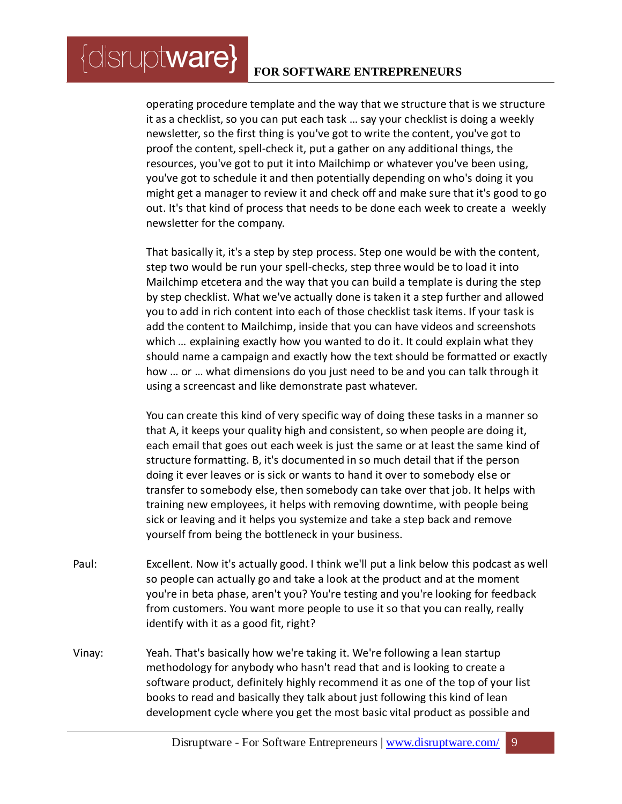$\{$ disrupt**ware** $\}$ 

operating procedure template and the way that we structure that is we structure it as a checklist, so you can put each task … say your checklist is doing a weekly newsletter, so the first thing is you've got to write the content, you've got to proof the content, spell-check it, put a gather on any additional things, the resources, you've got to put it into Mailchimp or whatever you've been using, you've got to schedule it and then potentially depending on who's doing it you might get a manager to review it and check off and make sure that it's good to go out. It's that kind of process that needs to be done each week to create a weekly newsletter for the company.

That basically it, it's a step by step process. Step one would be with the content, step two would be run your spell-checks, step three would be to load it into Mailchimp etcetera and the way that you can build a template is during the step by step checklist. What we've actually done is taken it a step further and allowed you to add in rich content into each of those checklist task items. If your task is add the content to Mailchimp, inside that you can have videos and screenshots which ... explaining exactly how you wanted to do it. It could explain what they should name a campaign and exactly how the text should be formatted or exactly how … or … what dimensions do you just need to be and you can talk through it using a screencast and like demonstrate past whatever.

You can create this kind of very specific way of doing these tasks in a manner so that A, it keeps your quality high and consistent, so when people are doing it, each email that goes out each week is just the same or at least the same kind of structure formatting. B, it's documented in so much detail that if the person doing it ever leaves or is sick or wants to hand it over to somebody else or transfer to somebody else, then somebody can take over that job. It helps with training new employees, it helps with removing downtime, with people being sick or leaving and it helps you systemize and take a step back and remove yourself from being the bottleneck in your business.

- Paul: Excellent. Now it's actually good. I think we'll put a link below this podcast as well so people can actually go and take a look at the product and at the moment you're in beta phase, aren't you? You're testing and you're looking for feedback from customers. You want more people to use it so that you can really, really identify with it as a good fit, right?
- Vinay: Yeah. That's basically how we're taking it. We're following a lean startup methodology for anybody who hasn't read that and is looking to create a software product, definitely highly recommend it as one of the top of your list books to read and basically they talk about just following this kind of lean development cycle where you get the most basic vital product as possible and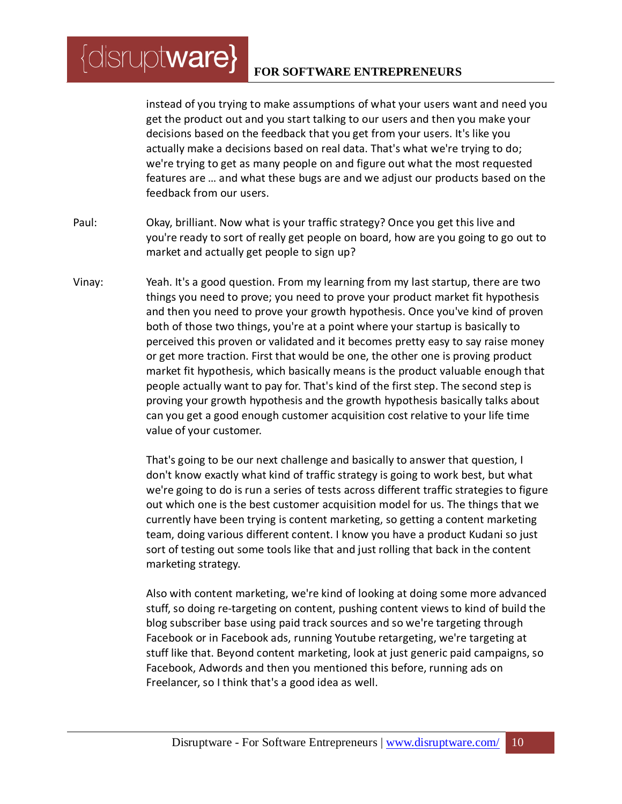instead of you trying to make assumptions of what your users want and need you get the product out and you start talking to our users and then you make your decisions based on the feedback that you get from your users. It's like you actually make a decisions based on real data. That's what we're trying to do; we're trying to get as many people on and figure out what the most requested features are … and what these bugs are and we adjust our products based on the feedback from our users.

- Paul: Okay, brilliant. Now what is your traffic strategy? Once you get this live and you're ready to sort of really get people on board, how are you going to go out to market and actually get people to sign up?
- Vinay: Yeah. It's a good question. From my learning from my last startup, there are two things you need to prove; you need to prove your product market fit hypothesis and then you need to prove your growth hypothesis. Once you've kind of proven both of those two things, you're at a point where your startup is basically to perceived this proven or validated and it becomes pretty easy to say raise money or get more traction. First that would be one, the other one is proving product market fit hypothesis, which basically means is the product valuable enough that people actually want to pay for. That's kind of the first step. The second step is proving your growth hypothesis and the growth hypothesis basically talks about can you get a good enough customer acquisition cost relative to your life time value of your customer.

That's going to be our next challenge and basically to answer that question, I don't know exactly what kind of traffic strategy is going to work best, but what we're going to do is run a series of tests across different traffic strategies to figure out which one is the best customer acquisition model for us. The things that we currently have been trying is content marketing, so getting a content marketing team, doing various different content. I know you have a product Kudani so just sort of testing out some tools like that and just rolling that back in the content marketing strategy.

Also with content marketing, we're kind of looking at doing some more advanced stuff, so doing re-targeting on content, pushing content views to kind of build the blog subscriber base using paid track sources and so we're targeting through Facebook or in Facebook ads, running Youtube retargeting, we're targeting at stuff like that. Beyond content marketing, look at just generic paid campaigns, so Facebook, Adwords and then you mentioned this before, running ads on Freelancer, so I think that's a good idea as well.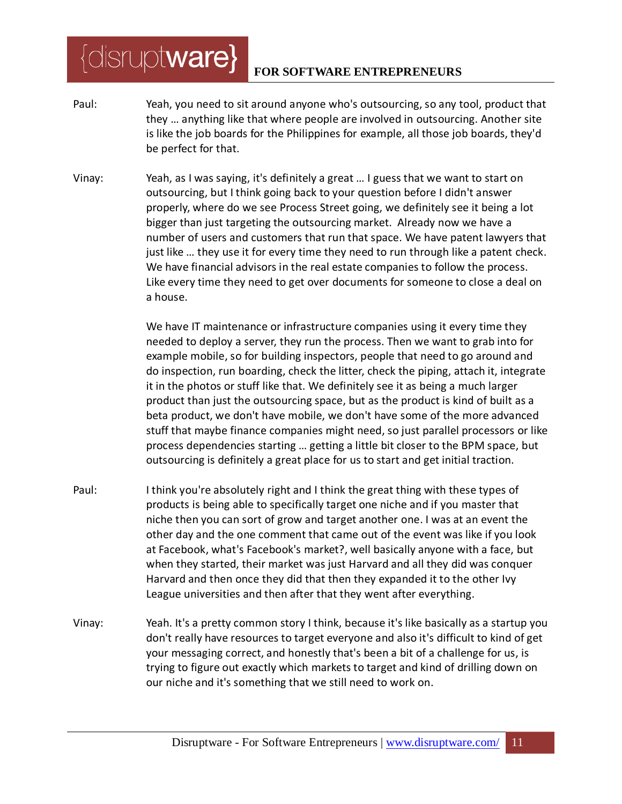- Paul: Yeah, you need to sit around anyone who's outsourcing, so any tool, product that they … anything like that where people are involved in outsourcing. Another site is like the job boards for the Philippines for example, all those job boards, they'd be perfect for that.
- Vinay: Yeah, as I was saying, it's definitely a great … I guess that we want to start on outsourcing, but I think going back to your question before I didn't answer properly, where do we see Process Street going, we definitely see it being a lot bigger than just targeting the outsourcing market. Already now we have a number of users and customers that run that space. We have patent lawyers that just like … they use it for every time they need to run through like a patent check. We have financial advisors in the real estate companies to follow the process. Like every time they need to get over documents for someone to close a deal on a house.

We have IT maintenance or infrastructure companies using it every time they needed to deploy a server, they run the process. Then we want to grab into for example mobile, so for building inspectors, people that need to go around and do inspection, run boarding, check the litter, check the piping, attach it, integrate it in the photos or stuff like that. We definitely see it as being a much larger product than just the outsourcing space, but as the product is kind of built as a beta product, we don't have mobile, we don't have some of the more advanced stuff that maybe finance companies might need, so just parallel processors or like process dependencies starting … getting a little bit closer to the BPM space, but outsourcing is definitely a great place for us to start and get initial traction.

- Paul: I think you're absolutely right and I think the great thing with these types of products is being able to specifically target one niche and if you master that niche then you can sort of grow and target another one. I was at an event the other day and the one comment that came out of the event was like if you look at Facebook, what's Facebook's market?, well basically anyone with a face, but when they started, their market was just Harvard and all they did was conquer Harvard and then once they did that then they expanded it to the other Ivy League universities and then after that they went after everything.
- Vinay: Yeah. It's a pretty common story I think, because it's like basically as a startup you don't really have resources to target everyone and also it's difficult to kind of get your messaging correct, and honestly that's been a bit of a challenge for us, is trying to figure out exactly which markets to target and kind of drilling down on our niche and it's something that we still need to work on.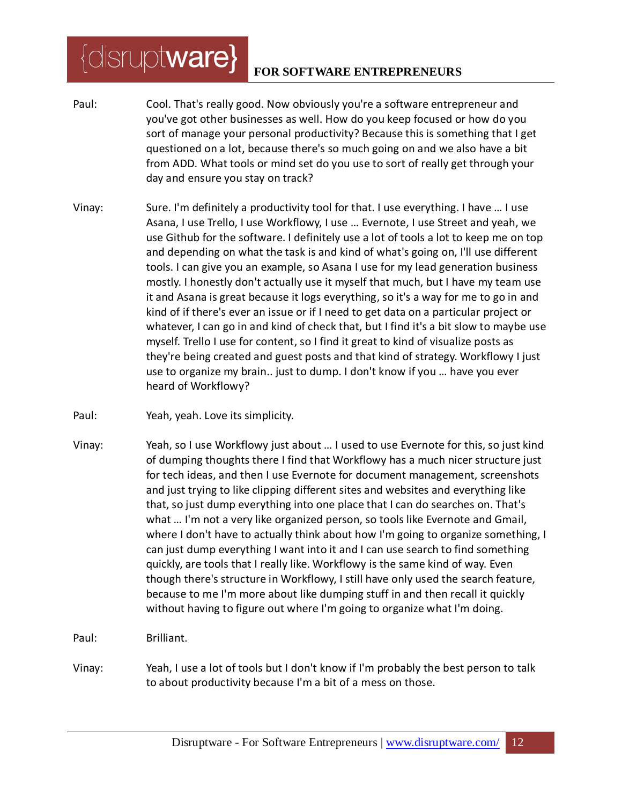#### **FOR SOFTWARE ENTREPRENEURS**

- Paul: Cool. That's really good. Now obviously you're a software entrepreneur and you've got other businesses as well. How do you keep focused or how do you sort of manage your personal productivity? Because this is something that I get questioned on a lot, because there's so much going on and we also have a bit from ADD. What tools or mind set do you use to sort of really get through your day and ensure you stay on track?
- Vinay: Sure. I'm definitely a productivity tool for that. I use everything. I have … I use Asana, I use Trello, I use Workflowy, I use … Evernote, I use Street and yeah, we use Github for the software. I definitely use a lot of tools a lot to keep me on top and depending on what the task is and kind of what's going on, I'll use different tools. I can give you an example, so Asana I use for my lead generation business mostly. I honestly don't actually use it myself that much, but I have my team use it and Asana is great because it logs everything, so it's a way for me to go in and kind of if there's ever an issue or if I need to get data on a particular project or whatever, I can go in and kind of check that, but I find it's a bit slow to maybe use myself. Trello I use for content, so I find it great to kind of visualize posts as they're being created and guest posts and that kind of strategy. Workflowy I just use to organize my brain.. just to dump. I don't know if you … have you ever heard of Workflowy?
- Paul: Yeah, yeah. Love its simplicity.
- Vinay: Yeah, so I use Workflowy just about … I used to use Evernote for this, so just kind of dumping thoughts there I find that Workflowy has a much nicer structure just for tech ideas, and then I use Evernote for document management, screenshots and just trying to like clipping different sites and websites and everything like that, so just dump everything into one place that I can do searches on. That's what … I'm not a very like organized person, so tools like Evernote and Gmail, where I don't have to actually think about how I'm going to organize something, I can just dump everything I want into it and I can use search to find something quickly, are tools that I really like. Workflowy is the same kind of way. Even though there's structure in Workflowy, I still have only used the search feature, because to me I'm more about like dumping stuff in and then recall it quickly without having to figure out where I'm going to organize what I'm doing.
- Paul: Brilliant.
- Vinay: Yeah, I use a lot of tools but I don't know if I'm probably the best person to talk to about productivity because I'm a bit of a mess on those.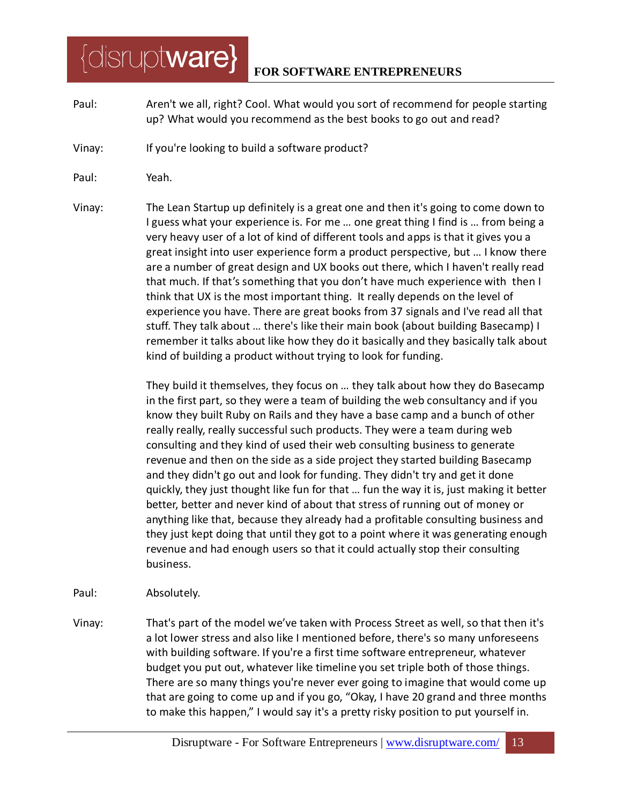- Paul: Aren't we all, right? Cool. What would you sort of recommend for people starting up? What would you recommend as the best books to go out and read?
- Vinay: If you're looking to build a software product?
- Paul: Yeah.

 $\{$ disrupt**ware** $\}$ 

Vinay: The Lean Startup up definitely is a great one and then it's going to come down to I guess what your experience is. For me ... one great thing I find is ... from being a very heavy user of a lot of kind of different tools and apps is that it gives you a great insight into user experience form a product perspective, but … I know there are a number of great design and UX books out there, which I haven't really read that much. If that's something that you don't have much experience with then I think that UX is the most important thing. It really depends on the level of experience you have. There are great books from 37 signals and I've read all that stuff. They talk about … there's like their main book (about building Basecamp) I remember it talks about like how they do it basically and they basically talk about kind of building a product without trying to look for funding.

> They build it themselves, they focus on … they talk about how they do Basecamp in the first part, so they were a team of building the web consultancy and if you know they built Ruby on Rails and they have a base camp and a bunch of other really really, really successful such products. They were a team during web consulting and they kind of used their web consulting business to generate revenue and then on the side as a side project they started building Basecamp and they didn't go out and look for funding. They didn't try and get it done quickly, they just thought like fun for that … fun the way it is, just making it better better, better and never kind of about that stress of running out of money or anything like that, because they already had a profitable consulting business and they just kept doing that until they got to a point where it was generating enough revenue and had enough users so that it could actually stop their consulting business.

- Paul: Absolutely.
- Vinay: That's part of the model we've taken with Process Street as well, so that then it's a lot lower stress and also like I mentioned before, there's so many unforeseens with building software. If you're a first time software entrepreneur, whatever budget you put out, whatever like timeline you set triple both of those things. There are so many things you're never ever going to imagine that would come up that are going to come up and if you go, "Okay, I have 20 grand and three months to make this happen," I would say it's a pretty risky position to put yourself in.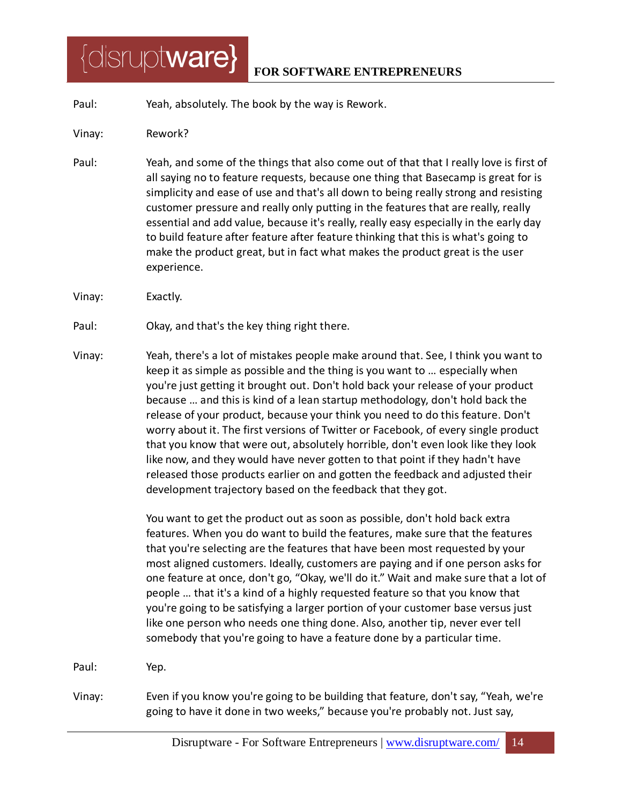#### **FOR SOFTWARE ENTREPRENEURS**

- Paul: Yeah, absolutely. The book by the way is Rework.
- Vinay: Rework?
- Paul: Yeah, and some of the things that also come out of that that I really love is first of all saying no to feature requests, because one thing that Basecamp is great for is simplicity and ease of use and that's all down to being really strong and resisting customer pressure and really only putting in the features that are really, really essential and add value, because it's really, really easy especially in the early day to build feature after feature after feature thinking that this is what's going to make the product great, but in fact what makes the product great is the user experience.
- Vinay: Exactly.
- Paul: Okay, and that's the key thing right there.
- Vinay: Yeah, there's a lot of mistakes people make around that. See, I think you want to keep it as simple as possible and the thing is you want to … especially when you're just getting it brought out. Don't hold back your release of your product because … and this is kind of a lean startup methodology, don't hold back the release of your product, because your think you need to do this feature. Don't worry about it. The first versions of Twitter or Facebook, of every single product that you know that were out, absolutely horrible, don't even look like they look like now, and they would have never gotten to that point if they hadn't have released those products earlier on and gotten the feedback and adjusted their development trajectory based on the feedback that they got.

You want to get the product out as soon as possible, don't hold back extra features. When you do want to build the features, make sure that the features that you're selecting are the features that have been most requested by your most aligned customers. Ideally, customers are paying and if one person asks for one feature at once, don't go, "Okay, we'll do it." Wait and make sure that a lot of people … that it's a kind of a highly requested feature so that you know that you're going to be satisfying a larger portion of your customer base versus just like one person who needs one thing done. Also, another tip, never ever tell somebody that you're going to have a feature done by a particular time.

Paul: Yep.

Vinay: Even if you know you're going to be building that feature, don't say, "Yeah, we're going to have it done in two weeks," because you're probably not. Just say,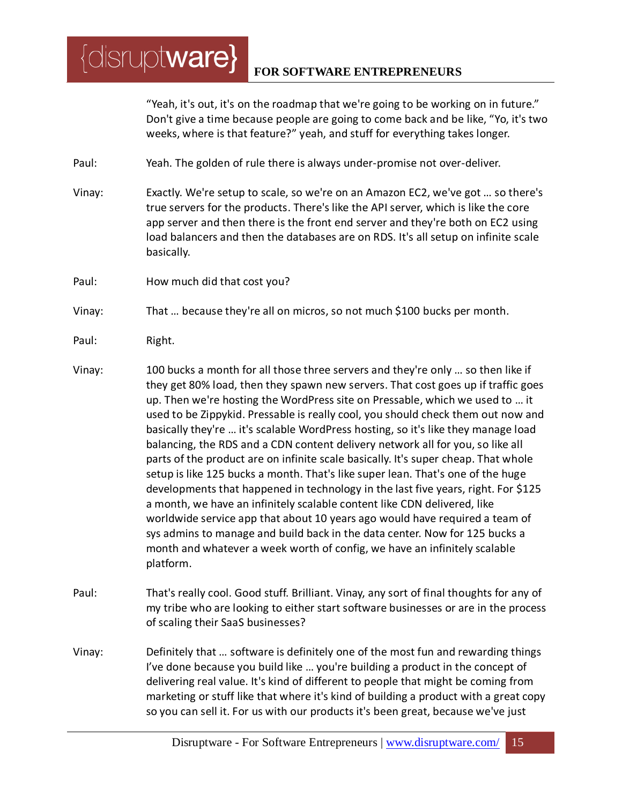"Yeah, it's out, it's on the roadmap that we're going to be working on in future." Don't give a time because people are going to come back and be like, "Yo, it's two weeks, where is that feature?" yeah, and stuff for everything takes longer.

Paul: Yeah. The golden of rule there is always under-promise not over-deliver.

- Vinay: Exactly. We're setup to scale, so we're on an Amazon EC2, we've got … so there's true servers for the products. There's like the API server, which is like the core app server and then there is the front end server and they're both on EC2 using load balancers and then the databases are on RDS. It's all setup on infinite scale basically.
- Paul: How much did that cost you?

 $\{$ disrupt**ware** $\}$ 

Vinay: That … because they're all on micros, so not much \$100 bucks per month.

- Paul: Right.
- Vinay: 100 bucks a month for all those three servers and they're only … so then like if they get 80% load, then they spawn new servers. That cost goes up if traffic goes up. Then we're hosting the WordPress site on Pressable, which we used to … it used to be Zippykid. Pressable is really cool, you should check them out now and basically they're … it's scalable WordPress hosting, so it's like they manage load balancing, the RDS and a CDN content delivery network all for you, so like all parts of the product are on infinite scale basically. It's super cheap. That whole setup is like 125 bucks a month. That's like super lean. That's one of the huge developments that happened in technology in the last five years, right. For \$125 a month, we have an infinitely scalable content like CDN delivered, like worldwide service app that about 10 years ago would have required a team of sys admins to manage and build back in the data center. Now for 125 bucks a month and whatever a week worth of config, we have an infinitely scalable platform.
- Paul: That's really cool. Good stuff. Brilliant. Vinay, any sort of final thoughts for any of my tribe who are looking to either start software businesses or are in the process of scaling their SaaS businesses?
- Vinay: Definitely that … software is definitely one of the most fun and rewarding things I've done because you build like … you're building a product in the concept of delivering real value. It's kind of different to people that might be coming from marketing or stuff like that where it's kind of building a product with a great copy so you can sell it. For us with our products it's been great, because we've just